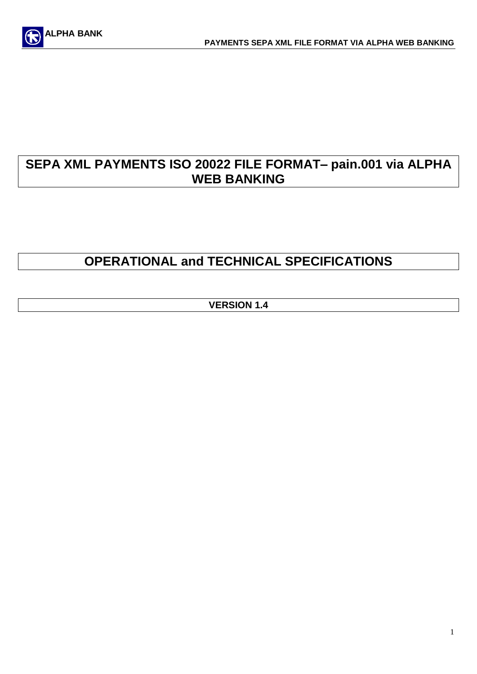

# **SEPA XML PAYMENTS ISO 20022 FILE FORMAT– pain.001 via ALPHA WEB BANKING**

# **OPERATIONAL and TECHNICAL SPECIFICATIONS**

**VERSION 1.4**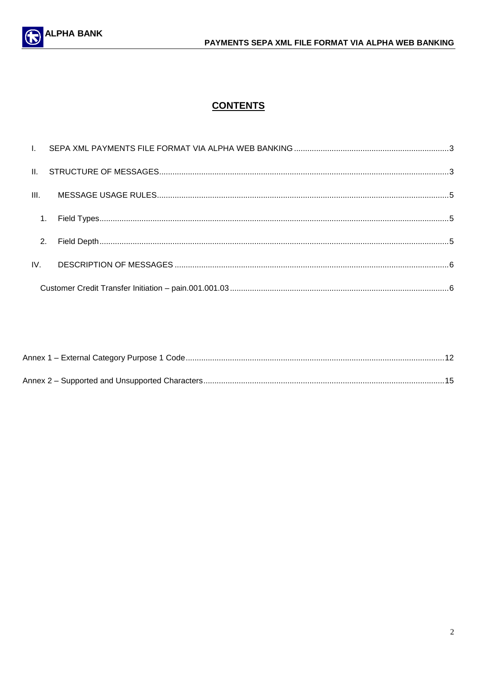

## **CONTENTS**

| 2. |  |
|----|--|
|    |  |
|    |  |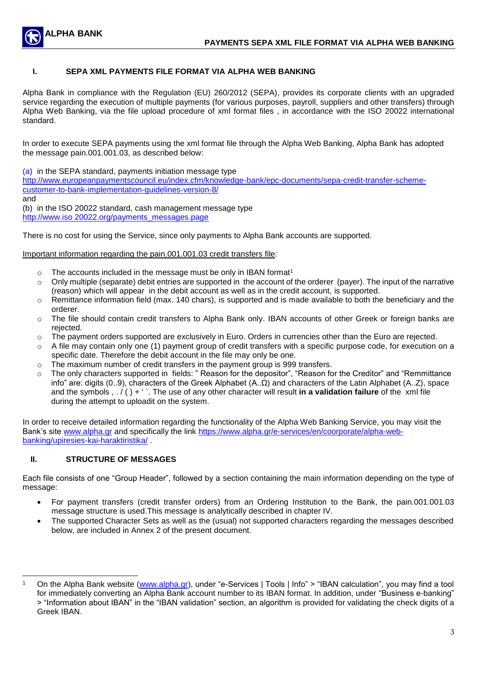#### <span id="page-2-0"></span>**I. SEPA XML PAYMENTS FILE FORMAT VIA ALPHA WEB BANKING**

Alpha Bank in compliance with the Regulation (EU) 260/2012 (SEPA), provides its corporate clients with an upgraded service regarding the execution of multiple payments (for various purposes, payroll, suppliers and other transfers) through Alpha Web Banking, via the file upload procedure of xml format files , in accordance with the ISO 20022 international standard.

In order to execute SEPA payments using the xml format file through the Alpha Web Banking, Alpha Bank has adopted the message pain.001.001.03, as described below:

(a) in the SEPA standard, payments initiation message type

[http://www.europeanpaymentscouncil.eu/index.cfm/knowledge-bank/epc-documents/sepa-credit-transfer-scheme](http://www.europeanpaymentscouncil.eu/index.cfm/knowledge-bank/epc-documents/sepa-credit-transfer-scheme-customer-to-bank-implementation-guidelines-version-8/)[customer-to-bank-implementation-guidelines-version-8/](http://www.europeanpaymentscouncil.eu/index.cfm/knowledge-bank/epc-documents/sepa-credit-transfer-scheme-customer-to-bank-implementation-guidelines-version-8/)

and

l

(b) in the ISO 20022 standard, cash management message type [http://www.iso 20022.org/payments\\_messages.page](http://www.iso20022.org/payments_messages.page)

There is no cost for using the Service, since only payments to Alpha Bank accounts are supported.

#### Important information regarding the pain.001.001.03 credit transfers file:

- $\circ$  The accounts included in the message must be only in IBAN format<sup>1</sup>
- $\circ$  Only multiple (separate) debit entries are supported in the account of the orderer (payer). The input of the narrative (reason) which will appear in the debit account as well as in the credit account, is supported.
- o Remittance information field (max. 140 chars), is supported and is made available to both the beneficiary and the orderer.
- o The file should contain credit transfers to Alpha Bank only. IBAN accounts of other Greek or foreign banks are rejected.
- $\circ$  The payment orders supported are exclusively in Euro. Orders in currencies other than the Euro are rejected.
- o A file may contain only one (1) payment group of credit transfers with a specific purpose code, for execution on a specific date. Therefore the debit account in the file may only be one.
- $\circ$  The maximum number of credit transfers in the payment group is 999 transfers.
- o The only characters supported in fields: " Reason for the depositor", "Reason for the Creditor" and "Remmittance info" are: digits (0..9), characters of the Greek Alphabet (Α..Ω) and characters of the Latin Alphabet (A..Z), space and the symbols , . / ( ) + ' `. The use of any other character will result **in a validation failure** of the xml file during the attempt to uploadit on the system.

In order to receive detailed information regarding the functionality of the Alpha Web Banking Service, you may visit the Bank's site [www.alpha.gr](http://www.alpha.gr/) and specifically the link [https://www.alpha.gr/e-services/en/coorporate/alpha-web](https://www.alpha.gr/e-services/en/coorporate/alpha-web-banking/upiresies-kai-haraktiristika/)[banking/upiresies-kai-haraktiristika/](https://www.alpha.gr/e-services/en/coorporate/alpha-web-banking/upiresies-kai-haraktiristika/) .

#### <span id="page-2-1"></span>**II. STRUCTURE OF MESSAGES**

Each file consists of one "Group Header", followed by a section containing the main information depending on the type of message:

- For payment transfers (credit transfer orders) from an Ordering Institution to the Bank, the pain.001.001.03 message structure is used.This message is analytically described in chapter IV.
- The supported Character Sets as well as the (usual) not supported characters regarding the messages described below, are included in Annex 2 of the present document.

<sup>&</sup>lt;sup>1</sup> On the Alpha Bank website [\(www.alpha.gr\)](http://www.alpha.gr/), under "e-Services | Tools | Info" > "IBAN calculation", you may find a tool for immediately converting an Alpha Bank account number to its IBAN format. In addition, under "Business e-banking" > "Information about IBAN" in the "IBAN validation" section, an algorithm is provided for validating the check digits of a Greek IBAN.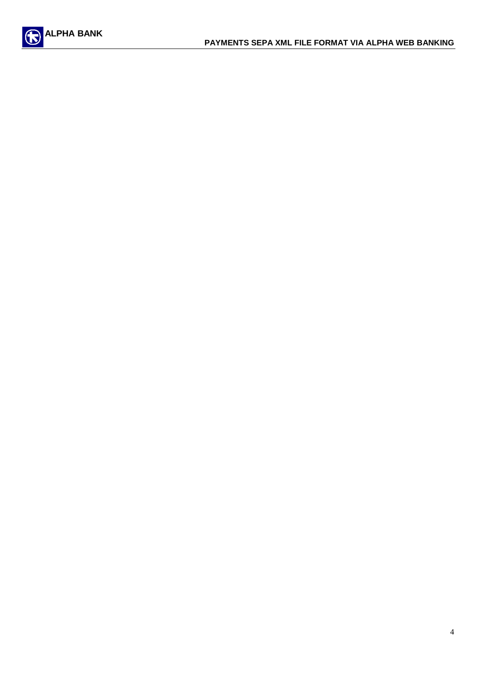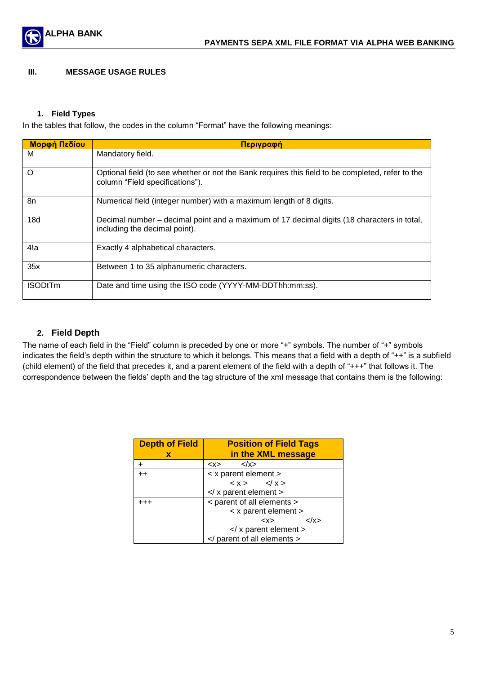

#### <span id="page-4-0"></span>**III. MESSAGE USAGE RULES**

#### <span id="page-4-1"></span>**1. Field Types**

In the tables that follow, the codes in the column "Format" have the following meanings:

| Μορφή Πεδίου   | Περιγραφή                                                                                                                           |
|----------------|-------------------------------------------------------------------------------------------------------------------------------------|
| М              | Mandatory field.                                                                                                                    |
| $\circ$        | Optional field (to see whether or not the Bank requires this field to be completed, refer to the<br>column "Field specifications"). |
| 8n             | Numerical field (integer number) with a maximum length of 8 digits.                                                                 |
| 18d            | Decimal number – decimal point and a maximum of 17 decimal digits (18 characters in total,<br>including the decimal point).         |
| 4!a            | Exactly 4 alphabetical characters.                                                                                                  |
| 35x            | Between 1 to 35 alphanumeric characters.                                                                                            |
| <b>ISODtTm</b> | Date and time using the ISO code (YYYY-MM-DDThh:mm:ss).                                                                             |

## <span id="page-4-2"></span>**2. Field Depth**

The name of each field in the "Field" column is preceded by one or more "+" symbols. The number of "+" symbols indicates the field's depth within the structure to which it belongs. This means that a field with a depth of "++" is a subfield (child element) of the field that precedes it, and a parent element of the field with a depth of "+++" that follows it. The correspondence between the fields' depth and the tag structure of the xml message that contains them is the following:

| <b>Depth of Field</b><br>x | <b>Position of Field Tags</b><br>in the XML message |  |  |  |  |
|----------------------------|-----------------------------------------------------|--|--|--|--|
| $\ddot{}$                  | $\langle x \rangle$<br>$<\!\!x\!\!>$                |  |  |  |  |
| $++$                       | < x parent element >                                |  |  |  |  |
|                            | $\langle$ x > $\langle$ x >                         |  |  |  |  |
|                            | $\langle x \rangle$ x parent element $>$            |  |  |  |  |
| $^{+++}$                   | < parent of all elements >                          |  |  |  |  |
|                            | < x parent element >                                |  |  |  |  |
|                            | <br>$< \times>$                                     |  |  |  |  |
|                            | x parent element                                    |  |  |  |  |
|                            | parent of all elements                              |  |  |  |  |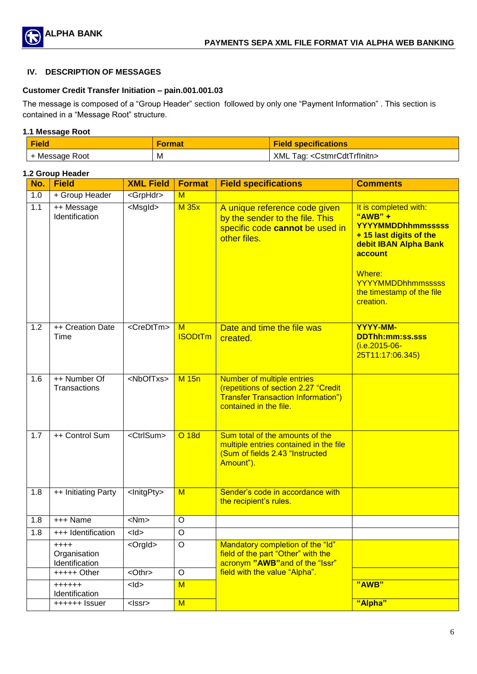#### <span id="page-5-0"></span>**IV. DESCRIPTION OF MESSAGES**

#### <span id="page-5-1"></span>**Customer Credit Transfer Initiation – pain.001.001.03**

The message is composed of a "Group Header" section followed by only one "Payment Information" . This section is contained in a "Message Root" structure.

#### **1.1 Message Root**

| <b>Field</b>   | <b>Format</b> | <b>Field specifications</b>  |
|----------------|---------------|------------------------------|
| + Message Root | M             | XML Tag: < CstmrCdtTrfInitn> |

#### **1.2 Group Header**

| No. | <b>Field</b>                             | <b>XML Field</b>      | <b>Format</b>       | <b>Field specifications</b>                                                                                                               | <b>Comments</b>                                                                                                                                                                                            |
|-----|------------------------------------------|-----------------------|---------------------|-------------------------------------------------------------------------------------------------------------------------------------------|------------------------------------------------------------------------------------------------------------------------------------------------------------------------------------------------------------|
| 1.0 | + Group Header                           | <grphdr></grphdr>     | M                   |                                                                                                                                           |                                                                                                                                                                                                            |
| 1.1 | ++ Message<br>Identification             | <msgld></msgld>       | <b>M 35x</b>        | A unique reference code given<br>by the sender to the file. This<br>specific code cannot be used in<br>other files.                       | It is completed with:<br>"AWB" +<br><b>YYYYMMDDhhmmsssss</b><br>+15 last digits of the<br>debit IBAN Alpha Bank<br>account<br>Where:<br><b>YYYYMMDDhhmmsssss</b><br>the timestamp of the file<br>creation. |
| 1.2 | ++ Creation Date<br>Time                 | <credttm></credttm>   | M<br><b>ISODtTm</b> | Date and time the file was<br>created.                                                                                                    | <b>YYYY-MM-</b><br><b>DDThh:mm:ss.sss</b><br>(i.e.2015-06-<br>25T11:17:06.345)                                                                                                                             |
| 1.6 | ++ Number Of<br>Transactions             | <nboftxs></nboftxs>   | <b>M</b> 15n        | Number of multiple entries<br>(repetitions of section 2.27 "Credit<br><b>Transfer Transaction Information")</b><br>contained in the file. |                                                                                                                                                                                                            |
| 1.7 | ++ Control Sum                           | <ctrlsum></ctrlsum>   | O 18d               | Sum total of the amounts of the<br>multiple entries contained in the file<br>(Sum of fields 2.43 "Instructed<br>Amount").                 |                                                                                                                                                                                                            |
| 1.8 | ++ Initiating Party                      | <lnitgpty></lnitgpty> | M                   | Sender's code in accordance with<br>the recipient's rules.                                                                                |                                                                                                                                                                                                            |
| 1.8 | +++ Name                                 | $<$ Nm $>$            | $\circ$             |                                                                                                                                           |                                                                                                                                                                                                            |
| 1.8 | +++ Identification                       | $<$ ld $>$            | $\circ$             |                                                                                                                                           |                                                                                                                                                                                                            |
|     | $++++$<br>Organisation<br>Identification | <orgld></orgld>       | $\circ$             | Mandatory completion of the "Id"<br>field of the part "Other" with the<br>acronym "AWB" and of the "Issr"                                 |                                                                                                                                                                                                            |
|     | $++++$ Other                             | <othr></othr>         | $\circ$             | field with the value "Alpha".                                                                                                             |                                                                                                                                                                                                            |
|     | $+++++$<br>Identification                | $<$ ld $>$            | M                   |                                                                                                                                           | "AWB"                                                                                                                                                                                                      |
|     | ++++++ Issuer                            | <lssr></lssr>         | M                   |                                                                                                                                           | "Alpha"                                                                                                                                                                                                    |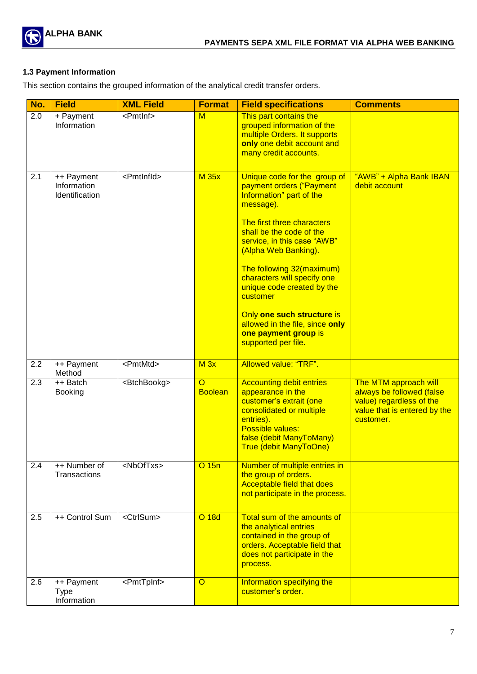

## **1.3 Payment Information**

This section contains the grouped information of the analytical credit transfer orders.

| No. | <b>Field</b>                                | <b>XML Field</b>        | <b>Format</b>                    | <b>Field specifications</b>                                                                                                                                                                                                                                                                                                                                                                                                              | <b>Comments</b>                                                                                                             |
|-----|---------------------------------------------|-------------------------|----------------------------------|------------------------------------------------------------------------------------------------------------------------------------------------------------------------------------------------------------------------------------------------------------------------------------------------------------------------------------------------------------------------------------------------------------------------------------------|-----------------------------------------------------------------------------------------------------------------------------|
| 2.0 | + Payment<br>Information                    | <pmtlnf></pmtlnf>       | M                                | This part contains the<br>grouped information of the<br>multiple Orders. It supports<br>only one debit account and<br>many credit accounts.                                                                                                                                                                                                                                                                                              |                                                                                                                             |
| 2.1 | ++ Payment<br>Information<br>Identification | <pmtlnfld></pmtlnfld>   | <b>M 35x</b>                     | Unique code for the group of<br>payment orders ("Payment<br>Information" part of the<br>message).<br>The first three characters<br>shall be the code of the<br>service, in this case "AWB"<br>(Alpha Web Banking).<br>The following 32(maximum)<br>characters will specify one<br>unique code created by the<br>customer<br>Only one such structure is<br>allowed in the file, since only<br>one payment group is<br>supported per file. | "AWB" + Alpha Bank IBAN<br>debit account                                                                                    |
| 2.2 | ++ Payment<br>Method                        | <pmtmtd></pmtmtd>       | M <sub>3x</sub>                  | Allowed value: "TRF".                                                                                                                                                                                                                                                                                                                                                                                                                    |                                                                                                                             |
| 2.3 | ++ Batch<br><b>Booking</b>                  | <btchbookg></btchbookg> | $\overline{O}$<br><b>Boolean</b> | <b>Accounting debit entries</b><br>appearance in the<br>customer's extrait (one<br>consolidated or multiple<br>entries).<br>Possible values:<br>false (debit ManyToMany)<br><b>True (debit ManyToOne)</b>                                                                                                                                                                                                                                | The MTM approach will<br>always be followed (false<br>value) regardless of the<br>value that is entered by the<br>customer. |
| 2.4 | ++ Number of<br>Transactions                | <nboftxs></nboftxs>     | O 15n                            | Number of multiple entries in<br>the group of orders.<br><b>Acceptable field that does</b><br>not participate in the process.                                                                                                                                                                                                                                                                                                            |                                                                                                                             |
| 2.5 | ++ Control Sum                              | <ctrlsum></ctrlsum>     | O 18d                            | Total sum of the amounts of<br>the analytical entries<br>contained in the group of<br>orders. Acceptable field that<br>does not participate in the<br>process.                                                                                                                                                                                                                                                                           |                                                                                                                             |
| 2.6 | ++ Payment<br>Type<br>Information           | <pmttpinf></pmttpinf>   | $\overline{O}$                   | Information specifying the<br>customer's order.                                                                                                                                                                                                                                                                                                                                                                                          |                                                                                                                             |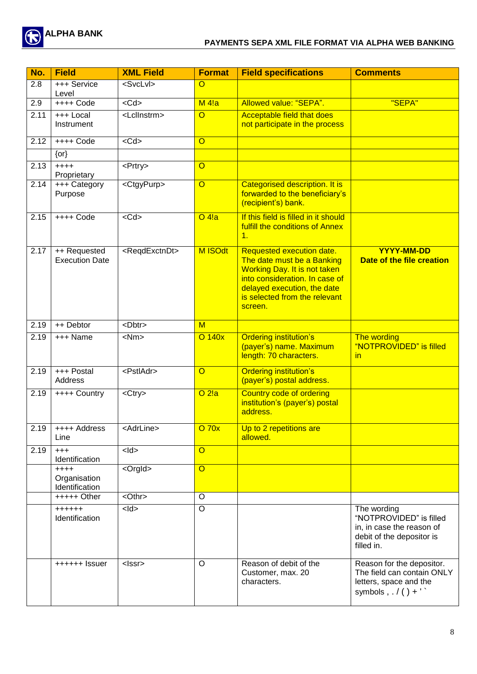

### **PAYMENTS SEPA XML FILE FORMAT VIA ALPHA WEB BANKING**

| No.  | <b>Field</b>                             | <b>XML Field</b>            | <b>Format</b>  | <b>Field specifications</b>                                                                                                                                                                                 | <b>Comments</b>                                                                                                |
|------|------------------------------------------|-----------------------------|----------------|-------------------------------------------------------------------------------------------------------------------------------------------------------------------------------------------------------------|----------------------------------------------------------------------------------------------------------------|
| 2.8  | +++ Service                              | <svclvl></svclvl>           | $\circ$        |                                                                                                                                                                                                             |                                                                                                                |
| 2.9  | Level<br>$++++$ Code                     | $<$ Cd $>$                  | $M$ 4!a        | Allowed value: "SEPA".                                                                                                                                                                                      | "SEPA"                                                                                                         |
| 2.11 | +++ Local<br>Instrument                  | <lcllnstrm></lcllnstrm>     | $\overline{O}$ | Acceptable field that does<br>not participate in the process                                                                                                                                                |                                                                                                                |
| 2.12 | $+++$ Code                               | $<$ Cd $>$                  | $\overline{O}$ |                                                                                                                                                                                                             |                                                                                                                |
|      | $\{or\}$                                 |                             |                |                                                                                                                                                                                                             |                                                                                                                |
| 2.13 | $++++$<br>Proprietary                    | <prtry></prtry>             | $\overline{O}$ |                                                                                                                                                                                                             |                                                                                                                |
| 2.14 | +++ Category<br>Purpose                  | <ctgypurp></ctgypurp>       | $\overline{O}$ | Categorised description. It is<br>forwarded to the beneficiary's<br>(recipient's) bank.                                                                                                                     |                                                                                                                |
| 2.15 | ++++ Code                                | $<$ Cd $>$                  | $O$ 4!a        | If this field is filled in it should<br>fulfill the conditions of Annex<br>1.                                                                                                                               |                                                                                                                |
| 2.17 | ++ Requested<br><b>Execution Date</b>    | <reqdexctndt></reqdexctndt> | M ISOdt        | Requested execution date.<br>The date must be a Banking<br><b>Working Day. It is not taken</b><br>into consideration. In case of<br>delayed execution, the date<br>is selected from the relevant<br>screen. | YYYY-MM-DD<br>Date of the file creation                                                                        |
| 2.19 | ++ Debtor                                | <dbtr></dbtr>               | M              |                                                                                                                                                                                                             |                                                                                                                |
| 2.19 | +++ Name                                 | $<$ Nm $>$                  | O 140x         | <b>Ordering institution's</b><br>(payer's) name. Maximum<br>length: 70 characters.                                                                                                                          | The wording<br>"NOTPROVIDED" is filled<br>in.                                                                  |
| 2.19 | +++ Postal<br>Address                    | <pstladr></pstladr>         | $\overline{O}$ | <b>Ordering institution's</b><br>(payer's) postal address.                                                                                                                                                  |                                                                                                                |
| 2.19 | ++++ Country                             | $<$ Ctry $>$                | $O2$ a         | Country code of ordering<br>institution's (payer's) postal<br>address.                                                                                                                                      |                                                                                                                |
| 2.19 | ++++ Address<br>Line                     | <adrline></adrline>         | O 70x          | Up to 2 repetitions are<br>allowed.                                                                                                                                                                         |                                                                                                                |
| 2.19 | $+++$<br>Identification                  | $<$ ld $>$                  | $\overline{O}$ |                                                                                                                                                                                                             |                                                                                                                |
|      | $++++$<br>Organisation<br>Identification | <orgld></orgld>             | $\overline{O}$ |                                                                                                                                                                                                             |                                                                                                                |
|      | $++++$ Other                             | <othr></othr>               | $\circ$        |                                                                                                                                                                                                             |                                                                                                                |
|      | $+++++$<br>Identification                | $<$ ld $>$                  | $\circ$        |                                                                                                                                                                                                             | The wording<br>"NOTPROVIDED" is filled<br>in, in case the reason of<br>debit of the depositor is<br>filled in. |
|      | ++++++ Issuer                            | $<$ Issr $>$                | $\circ$        | Reason of debit of the<br>Customer, max. 20<br>characters.                                                                                                                                                  | Reason for the depositor.<br>The field can contain ONLY<br>letters, space and the<br>symbols , $. /$ ( ) + ' ` |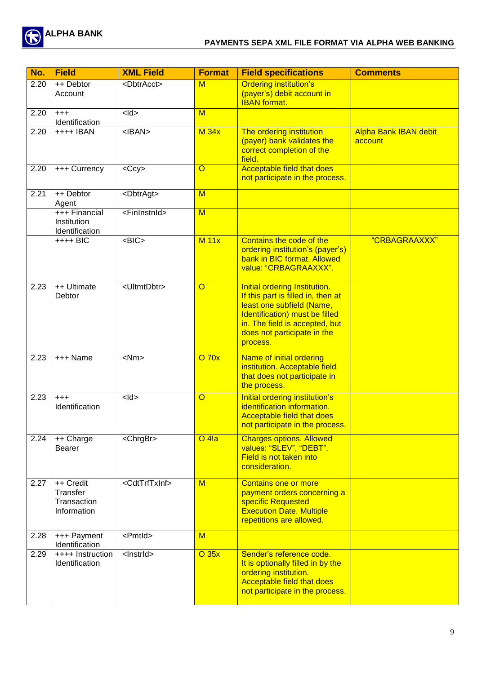

## **PAYMENTS SEPA XML FILE FORMAT VIA ALPHA WEB BANKING**

| No.          | <b>Field</b>                                                         | <b>XML Field</b>                                  | <b>Format</b>  | <b>Field specifications</b>                                                                                                                                                                                     | <b>Comments</b>                         |
|--------------|----------------------------------------------------------------------|---------------------------------------------------|----------------|-----------------------------------------------------------------------------------------------------------------------------------------------------------------------------------------------------------------|-----------------------------------------|
| 2.20         | ++ Debtor<br>Account                                                 | <dbtracct></dbtracct>                             | $\mathsf{M}$   | <b>Ordering institution's</b><br>(payer's) debit account in<br><b>IBAN</b> format.                                                                                                                              |                                         |
| 2.20         | $^{+++}$<br>Identification                                           | $<$ ld $>$                                        | M              |                                                                                                                                                                                                                 |                                         |
| 2.20         | ++++ IBAN                                                            | $<$ IBAN $>$                                      | <b>M 34x</b>   | The ordering institution<br>(payer) bank validates the<br>correct completion of the<br>field.                                                                                                                   | <b>Alpha Bank IBAN debit</b><br>account |
| 2.20         | +++ Currency                                                         | $<$ Ccy $>$                                       | $\overline{O}$ | Acceptable field that does<br>not participate in the process.                                                                                                                                                   |                                         |
| 2.21         | ++ Debtor<br>Agent<br>+++ Financial<br>Institution<br>Identification | <dbtragt><br/><fininstnid></fininstnid></dbtragt> | M<br>M         |                                                                                                                                                                                                                 |                                         |
|              | $++++$ BIC                                                           | $-BIC$                                            | <b>M11x</b>    | Contains the code of the<br>ordering institution's (payer's)<br>bank in BIC format. Allowed<br>value: "CRBAGRAAXXX".                                                                                            | "CRBAGRAAXXX"                           |
| 2.23         | ++ Ultimate<br>Debtor                                                | <ultmtdbtr></ultmtdbtr>                           | $\overline{O}$ | Initial ordering Institution.<br>If this part is filled in, then at<br>least one subfield (Name,<br>Identification) must be filled<br>in. The field is accepted, but<br>does not participate in the<br>process. |                                         |
| 2.23         | +++ Name                                                             | $<$ Nm $>$                                        | O 70x          | Name of initial ordering<br>institution. Acceptable field<br>that does not participate in<br>the process.                                                                                                       |                                         |
| 2.23         | $^{+++}$<br>Identification                                           | $<$ ld $>$                                        | $\overline{O}$ | Initial ordering institution's<br>identification information.<br><b>Acceptable field that does</b><br>not participate in the process.                                                                           |                                         |
| 2.24         | ++ Charge<br>Bearer                                                  | <chrgbr></chrgbr>                                 | $O$ 4!a        | <b>Charges options. Allowed</b><br>values: "SLEV", "DEBT".<br>Field is not taken into<br>consideration.                                                                                                         |                                         |
| 2.27         | ++ Credit<br>Transfer<br>Transaction<br>Information                  | <cdttrftxinf></cdttrftxinf>                       | M              | <b>Contains one or more</b><br>payment orders concerning a<br>specific Requested<br><b>Execution Date. Multiple</b><br>repetitions are allowed.                                                                 |                                         |
| 2.28<br>2.29 | +++ Payment<br>Identification<br>++++ Instruction<br>Identification  | <pmtld><br/><lnstrld></lnstrld></pmtld>           | M<br>O 35x     | Sender's reference code.<br>It is optionally filled in by the<br>ordering institution.<br>Acceptable field that does<br>not participate in the process.                                                         |                                         |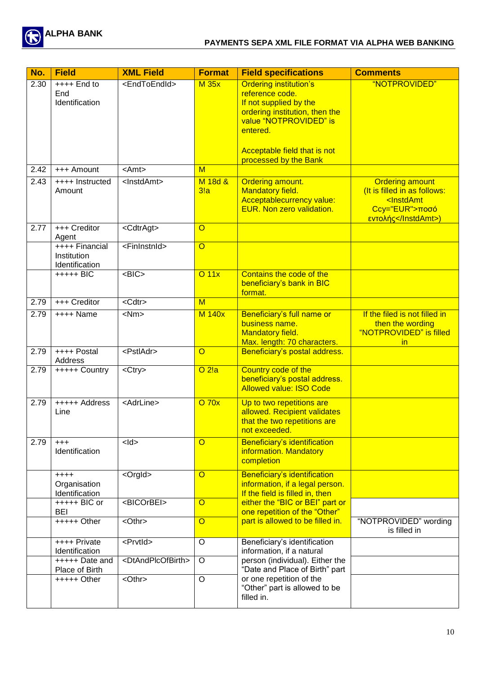

| No.  | <b>Field</b>                                     | <b>XML Field</b>                                                     | <b>Format</b>      | <b>Field specifications</b>                                                                                                                        | <b>Comments</b>                                                                                                     |
|------|--------------------------------------------------|----------------------------------------------------------------------|--------------------|----------------------------------------------------------------------------------------------------------------------------------------------------|---------------------------------------------------------------------------------------------------------------------|
| 2.30 | $++++$ End to<br>End<br>Identification           | <endtoendid></endtoendid>                                            | <b>M 35x</b>       | <b>Ordering institution's</b><br>reference code.<br>If not supplied by the<br>ordering institution, then the<br>value "NOTPROVIDED" is<br>entered. | "NOTPROVIDED"                                                                                                       |
|      |                                                  |                                                                      |                    | Acceptable field that is not<br>processed by the Bank                                                                                              |                                                                                                                     |
| 2.42 | +++ Amount                                       | $<$ Amt $>$                                                          | M                  |                                                                                                                                                    |                                                                                                                     |
| 2.43 | ++++ Instructed<br>Amount                        | <lnstdamt></lnstdamt>                                                | M 18d &<br>3!a     | <b>Ordering amount.</b><br><b>Mandatory field.</b><br>Acceptablecurrency value:<br><b>EUR.</b> Non zero validation.                                | <b>Ordering amount</b><br>(It is filled in as follows:<br><instdamt<br>Ccy="EUR"&gt;ποσό<br/>εντολής)</instdamt<br> |
| 2.77 | +++ Creditor<br>Agent                            | <cdtragt></cdtragt>                                                  | $\overline{O}$     |                                                                                                                                                    |                                                                                                                     |
|      | ++++ Financial<br>Institution<br>Identification  | <fininstnid></fininstnid>                                            | $\overline{O}$     |                                                                                                                                                    |                                                                                                                     |
|      | $++++$ BIC                                       | $-BIC$                                                               | O 11x              | Contains the code of the<br>beneficiary's bank in BIC<br>format.                                                                                   |                                                                                                                     |
| 2.79 | +++ Creditor                                     | <cdtr></cdtr>                                                        | M                  |                                                                                                                                                    |                                                                                                                     |
| 2.79 | $++++$ Name                                      | $<$ Nm $>$                                                           | <b>M</b> 140x      | Beneficiary's full name or<br>business name.<br>Mandatory field.<br>Max. length: 70 characters.                                                    | If the filed is not filled in<br>then the wording<br>"NOTPROVIDED" is filled<br><u>in</u>                           |
| 2.79 | ++++ Postal<br>Address                           | <pstladr></pstladr>                                                  | $\overline{O}$     | Beneficiary's postal address.                                                                                                                      |                                                                                                                     |
| 2.79 | +++++ Country                                    | <ctry></ctry>                                                        | O <sub>2</sub>     | Country code of the<br>beneficiary's postal address.<br><b>Allowed value: ISO Code</b>                                                             |                                                                                                                     |
| 2.79 | +++++ Address<br>Line                            | <adrline></adrline>                                                  | O 70x              | Up to two repetitions are<br>allowed. Recipient validates<br>that the two repetitions are<br>not exceeded.                                         |                                                                                                                     |
| 2.79 | $^{+++}$<br>Identification                       | $<$ ld $>$                                                           | $\overline{O}$     | Beneficiary's identification<br>information. Mandatory<br>completion                                                                               |                                                                                                                     |
|      | $++++$<br>Organisation<br>Identification         | <orgld></orgld>                                                      | $\overline{O}$     | Beneficiary's identification<br>information, if a legal person.<br>If the field is filled in, then                                                 |                                                                                                                     |
|      | +++++ BIC or<br><b>BEI</b>                       | <bicorbei></bicorbei>                                                | $\overline{O}$     | either the "BIC or BEI" part or<br>one repetition of the "Other"                                                                                   |                                                                                                                     |
|      | $++++$ Other                                     | <othr></othr>                                                        | $\overline{O}$     | part is allowed to be filled in.                                                                                                                   | "NOTPROVIDED" wording<br>is filled in                                                                               |
|      | ++++ Private<br>Identification<br>+++++ Date and | $\overline{\text{cPrv}}$ tld><br><dtandplcofbirth></dtandplcofbirth> | $\circ$<br>$\circ$ | Beneficiary's identification<br>information, if a natural<br>person (individual). Either the                                                       |                                                                                                                     |
|      | Place of Birth                                   |                                                                      |                    | "Date and Place of Birth" part                                                                                                                     |                                                                                                                     |
|      | $++++$ Other                                     | <othr></othr>                                                        | $\circ$            | or one repetition of the<br>"Other" part is allowed to be<br>filled in.                                                                            |                                                                                                                     |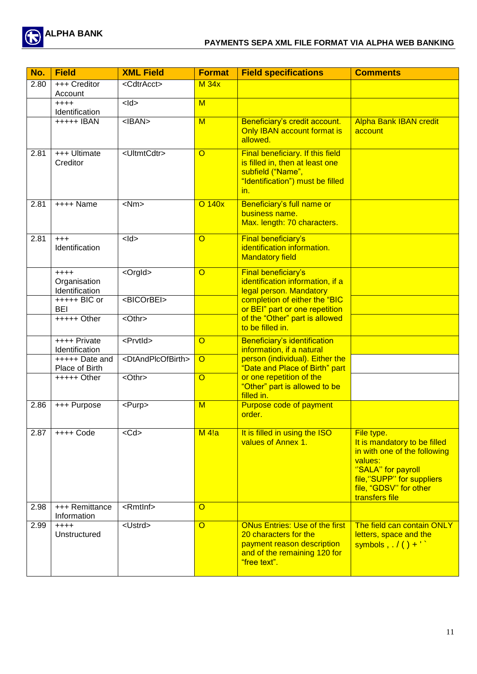

## **PAYMENTS SEPA XML FILE FORMAT VIA ALPHA WEB BANKING**

| No.  | <b>Field</b>                     | <b>XML Field</b>                    | <b>Format</b>  | <b>Field specifications</b>                                       | <b>Comments</b>                                      |
|------|----------------------------------|-------------------------------------|----------------|-------------------------------------------------------------------|------------------------------------------------------|
| 2.80 | +++ Creditor                     | <cdtracct></cdtracct>               | <b>M 34x</b>   |                                                                   |                                                      |
|      | Account<br>$++++$                | $<$ ld $>$                          | M              |                                                                   |                                                      |
|      | Identification                   |                                     |                |                                                                   |                                                      |
|      | +++++ IBAN                       | $<$ IBAN $>$                        | M              | Beneficiary's credit account.                                     | <b>Alpha Bank IBAN credit</b>                        |
|      |                                  |                                     |                | Only IBAN account format is                                       | account                                              |
|      |                                  |                                     |                | allowed.                                                          |                                                      |
| 2.81 | +++ Ultimate<br>Creditor         | <ultmtcdtr></ultmtcdtr>             | $\overline{O}$ | Final beneficiary. If this field                                  |                                                      |
|      |                                  |                                     |                | is filled in, then at least one<br>subfield ("Name",              |                                                      |
|      |                                  |                                     |                | "Identification") must be filled                                  |                                                      |
|      |                                  |                                     |                | in.                                                               |                                                      |
| 2.81 | $++++$ Name                      | $<$ Nm $>$                          | O 140x         | Beneficiary's full name or                                        |                                                      |
|      |                                  |                                     |                | business name.<br>Max. length: 70 characters.                     |                                                      |
|      |                                  |                                     |                |                                                                   |                                                      |
| 2.81 | $+ + +$                          | $<$ ld $>$                          | $\overline{O}$ | <b>Final beneficiary's</b>                                        |                                                      |
|      | Identification                   |                                     |                | identification information.<br><b>Mandatory field</b>             |                                                      |
|      |                                  |                                     |                |                                                                   |                                                      |
|      | $++++$<br>Organisation           | <orgld></orgld>                     | $\overline{O}$ | Final beneficiary's<br>identification information, if a           |                                                      |
|      | Identification                   |                                     |                | legal person. Mandatory                                           |                                                      |
|      | +++++ BIC or                     | <bicorbei></bicorbei>               |                | completion of either the "BIC                                     |                                                      |
|      | <b>BEI</b><br>$++++$ Other       | <othr></othr>                       |                | or BEI" part or one repetition<br>of the "Other" part is allowed  |                                                      |
|      |                                  |                                     |                | to be filled in.                                                  |                                                      |
|      | ++++ Private                     | <prvtid></prvtid>                   | $\overline{O}$ | Beneficiary's identification                                      |                                                      |
|      | Identification                   |                                     |                | information, if a natural                                         |                                                      |
|      | +++++ Date and<br>Place of Birth | <dtandplcofbirth></dtandplcofbirth> | $\overline{O}$ | person (individual). Either the<br>"Date and Place of Birth" part |                                                      |
|      | $++++$ Other                     | <othr></othr>                       | $\overline{O}$ | or one repetition of the                                          |                                                      |
|      |                                  |                                     |                | "Other" part is allowed to be                                     |                                                      |
| 2.86 | +++ Purpose                      | <purp></purp>                       | M              | filled in.<br>Purpose code of payment                             |                                                      |
|      |                                  |                                     |                | order.                                                            |                                                      |
|      |                                  |                                     |                |                                                                   |                                                      |
| 2.87 | $++++$ Code                      | $<$ Cd $>$                          | $M$ 4!a        | It is filled in using the ISO<br>values of Annex 1.               | File type.<br>It is mandatory to be filled           |
|      |                                  |                                     |                |                                                                   | in with one of the following                         |
|      |                                  |                                     |                |                                                                   | values:                                              |
|      |                                  |                                     |                |                                                                   | "SALA" for payroll                                   |
|      |                                  |                                     |                |                                                                   | file, "SUPP" for suppliers<br>file, "GDSV" for other |
|      |                                  |                                     |                |                                                                   | transfers file                                       |
| 2.98 | +++ Remittance                   | <rmtlnf></rmtlnf>                   | $\overline{O}$ |                                                                   |                                                      |
| 2.99 | Information<br>$++++$            | <ustrd></ustrd>                     | $\overline{O}$ | <b>ONus Entries: Use of the first</b>                             | The field can contain ONLY                           |
|      | Unstructured                     |                                     |                | 20 characters for the                                             | letters, space and the                               |
|      |                                  |                                     |                | payment reason description                                        | symbols, $. / () +$                                  |
|      |                                  |                                     |                | and of the remaining 120 for<br>"free text".                      |                                                      |
|      |                                  |                                     |                |                                                                   |                                                      |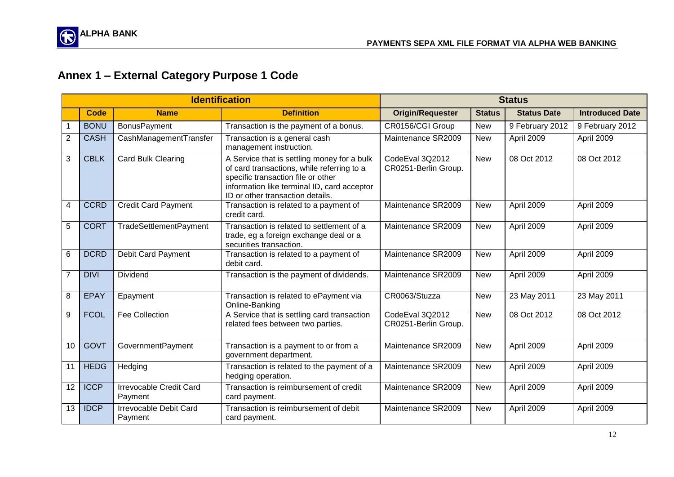# **Annex 1 – External Category Purpose 1 Code**

<span id="page-11-0"></span>

|                |             | <b>Identification</b>                    | <b>Status</b>                                                                                                                                                                                                      |                                                                |            |                 |                        |
|----------------|-------------|------------------------------------------|--------------------------------------------------------------------------------------------------------------------------------------------------------------------------------------------------------------------|----------------------------------------------------------------|------------|-----------------|------------------------|
|                | <b>Code</b> | <b>Name</b>                              | <b>Definition</b>                                                                                                                                                                                                  | <b>Origin/Requester</b><br><b>Status</b><br><b>Status Date</b> |            |                 | <b>Introduced Date</b> |
| $\mathbf 1$    | <b>BONU</b> | <b>BonusPayment</b>                      | Transaction is the payment of a bonus.                                                                                                                                                                             | CR0156/CGI Group                                               | <b>New</b> | 9 February 2012 | 9 February 2012        |
| $\overline{2}$ | <b>CASH</b> | CashManagementTransfer                   | Transaction is a general cash<br>management instruction.                                                                                                                                                           | Maintenance SR2009                                             | <b>New</b> | April 2009      | April 2009             |
| 3              | <b>CBLK</b> | <b>Card Bulk Clearing</b>                | A Service that is settling money for a bulk<br>of card transactions, while referring to a<br>specific transaction file or other<br>information like terminal ID, card acceptor<br>ID or other transaction details. | CodeEval 3Q2012<br>CR0251-Berlin Group.                        | <b>New</b> | 08 Oct 2012     | 08 Oct 2012            |
| $\overline{4}$ | <b>CCRD</b> | <b>Credit Card Payment</b>               | Transaction is related to a payment of<br>credit card.                                                                                                                                                             | Maintenance SR2009                                             | <b>New</b> | April 2009      | April 2009             |
| 5              | <b>CORT</b> | <b>TradeSettlementPayment</b>            | Transaction is related to settlement of a<br>trade, eg a foreign exchange deal or a<br>securities transaction.                                                                                                     | Maintenance SR2009                                             | <b>New</b> | April 2009      | April 2009             |
| $6\phantom{1}$ | <b>DCRD</b> | <b>Debit Card Payment</b>                | Transaction is related to a payment of<br>debit card.                                                                                                                                                              | Maintenance SR2009                                             | <b>New</b> | April 2009      | April 2009             |
| $\overline{7}$ | <b>DIVI</b> | <b>Dividend</b>                          | Transaction is the payment of dividends.                                                                                                                                                                           | Maintenance SR2009                                             | <b>New</b> | April 2009      | April 2009             |
| 8              | <b>EPAY</b> | Epayment                                 | Transaction is related to ePayment via<br>Online-Banking                                                                                                                                                           | CR0063/Stuzza                                                  | <b>New</b> | 23 May 2011     | 23 May 2011            |
| 9              | <b>FCOL</b> | <b>Fee Collection</b>                    | A Service that is settling card transaction<br>related fees between two parties.                                                                                                                                   | CodeEval 3Q2012<br>CR0251-Berlin Group.                        | <b>New</b> | 08 Oct 2012     | 08 Oct 2012            |
| 10             | GOVT        | <b>GovernmentPayment</b>                 | Transaction is a payment to or from a<br>government department.                                                                                                                                                    | Maintenance SR2009                                             | <b>New</b> | April 2009      | April 2009             |
| 11             | <b>HEDG</b> | Hedging                                  | Transaction is related to the payment of a<br>hedging operation.                                                                                                                                                   | Maintenance SR2009                                             | <b>New</b> | April 2009      | April 2009             |
| 12             | <b>ICCP</b> | Irrevocable Credit Card<br>Payment       | Transaction is reimbursement of credit<br>card payment.                                                                                                                                                            | Maintenance SR2009                                             | <b>New</b> | April 2009      | April 2009             |
| 13             | <b>IDCP</b> | <b>Irrevocable Debit Card</b><br>Payment | Transaction is reimbursement of debit<br>card payment.                                                                                                                                                             | Maintenance SR2009                                             | <b>New</b> | April 2009      | April 2009             |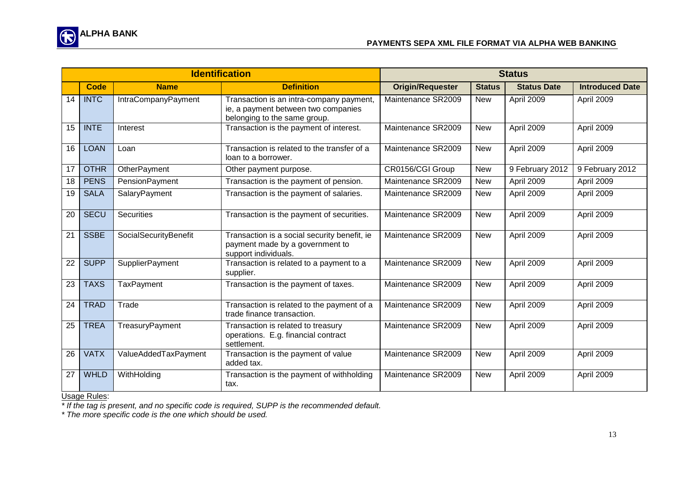|                 |             |                       | <b>Identification</b>                                                                                           | <b>Status</b>           |               |                    |                        |
|-----------------|-------------|-----------------------|-----------------------------------------------------------------------------------------------------------------|-------------------------|---------------|--------------------|------------------------|
|                 | <b>Code</b> | <b>Name</b>           | <b>Definition</b>                                                                                               | <b>Origin/Requester</b> | <b>Status</b> | <b>Status Date</b> | <b>Introduced Date</b> |
| 14              | <b>INTC</b> | IntraCompanyPayment   | Transaction is an intra-company payment,<br>ie, a payment between two companies<br>belonging to the same group. | Maintenance SR2009      | New           | April 2009         | April 2009             |
| 15              | <b>INTE</b> | Interest              | Transaction is the payment of interest.                                                                         | Maintenance SR2009      | <b>New</b>    | April 2009         | April 2009             |
| 16              | <b>LOAN</b> | Loan                  | Transaction is related to the transfer of a<br>loan to a borrower.                                              | Maintenance SR2009      | <b>New</b>    | April 2009         | April 2009             |
| 17              | <b>OTHR</b> | OtherPayment          | Other payment purpose.                                                                                          | CR0156/CGI Group        | <b>New</b>    | 9 February 2012    | 9 February 2012        |
| 18              | <b>PENS</b> | PensionPayment        | Transaction is the payment of pension.                                                                          | Maintenance SR2009      | <b>New</b>    | April 2009         | April 2009             |
| 19              | <b>SALA</b> | SalaryPayment         | Transaction is the payment of salaries.                                                                         | Maintenance SR2009      | <b>New</b>    | April 2009         | April 2009             |
| 20              | <b>SECU</b> | <b>Securities</b>     | Transaction is the payment of securities.                                                                       | Maintenance SR2009      | <b>New</b>    | April 2009         | April 2009             |
| $\overline{21}$ | <b>SSBE</b> | SocialSecurityBenefit | Transaction is a social security benefit, ie<br>payment made by a government to<br>support individuals.         | Maintenance SR2009      | <b>New</b>    | April 2009         | April 2009             |
| $\overline{22}$ | <b>SUPP</b> | SupplierPayment       | Transaction is related to a payment to a<br>supplier.                                                           | Maintenance SR2009      | <b>New</b>    | April 2009         | April 2009             |
| $\overline{23}$ | <b>TAXS</b> | TaxPayment            | Transaction is the payment of taxes.                                                                            | Maintenance SR2009      | <b>New</b>    | April 2009         | April 2009             |
| 24              | <b>TRAD</b> | Trade                 | Transaction is related to the payment of a<br>trade finance transaction.                                        | Maintenance SR2009      | <b>New</b>    | April 2009         | April 2009             |
| 25              | <b>TREA</b> | TreasuryPayment       | Transaction is related to treasury<br>operations. E.g. financial contract<br>settlement.                        | Maintenance SR2009      | <b>New</b>    | April 2009         | April 2009             |
| 26              | <b>VATX</b> | ValueAddedTaxPayment  | Transaction is the payment of value<br>added tax.                                                               | Maintenance SR2009      | <b>New</b>    | April 2009         | April 2009             |
| 27              | <b>WHLD</b> | WithHolding           | Transaction is the payment of withholding<br>tax.                                                               | Maintenance SR2009      | <b>New</b>    | April 2009         | April 2009             |

Usage Rules:

*\* If the tag is present, and no specific code is required, SUPP is the recommended default.*

*\* The more specific code is the one which should be used.*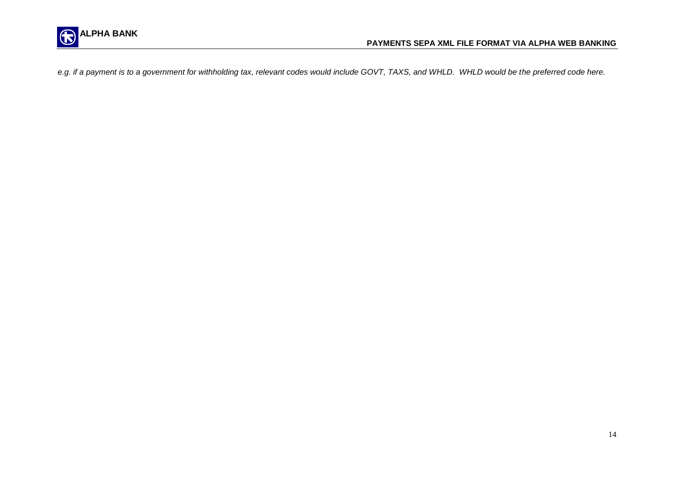

*e.g. if a payment is to a government for withholding tax, relevant codes would include GOVT, TAXS, and WHLD. WHLD would be the preferred code here.*